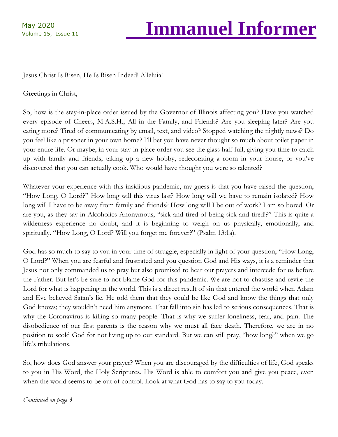## Volume 15, Issue 11 **Immanuel Informer**

Jesus Christ Is Risen, He Is Risen Indeed! Alleluia!

#### Greetings in Christ,

So, how is the stay-in-place order issued by the Governor of Illinois affecting you? Have you watched every episode of Cheers, M.A.S.H., All in the Family, and Friends? Are you sleeping later? Are you eating more? Tired of communicating by email, text, and video? Stopped watching the nightly news? Do you feel like a prisoner in your own home? I'll bet you have never thought so much about toilet paper in your entire life. Or maybe, in your stay-in-place order you see the glass half full, giving you time to catch up with family and friends, taking up a new hobby, redecorating a room in your house, or you've discovered that you can actually cook. Who would have thought you were so talented?

Whatever your experience with this insidious pandemic, my guess is that you have raised the question, "How Long, O Lord?" How long will this virus last? How long will we have to remain isolated? How long will I have to be away from family and friends? How long will I be out of work? I am so bored. Or are you, as they say in Alcoholics Anonymous, "sick and tired of being sick and tired!?" This is quite a wilderness experience no doubt, and it is beginning to weigh on us physically, emotionally, and spiritually. "How Long, O Lord? Will you forget me forever?" (Psalm 13:1a).

God has so much to say to you in your time of struggle, especially in light of your question, "How Long, O Lord?" When you are fearful and frustrated and you question God and His ways, it is a reminder that Jesus not only commanded us to pray but also promised to hear our prayers and intercede for us before the Father. But let's be sure to not blame God for this pandemic. We are not to chastise and revile the Lord for what is happening in the world. This is a direct result of sin that entered the world when Adam and Eve believed Satan's lie. He told them that they could be like God and know the things that only God knows; they wouldn't need him anymore. That fall into sin has led to serious consequences. That is why the Coronavirus is killing so many people. That is why we suffer loneliness, fear, and pain. The disobedience of our first parents is the reason why we must all face death. Therefore, we are in no position to scold God for not living up to our standard. But we can still pray, "how long?" when we go life's tribulations.

So, how does God answer your prayer? When you are discouraged by the difficulties of life, God speaks to you in His Word, the Holy Scriptures. His Word is able to comfort you and give you peace, even when the world seems to be out of control. Look at what God has to say to you today.

*Continued on page 3*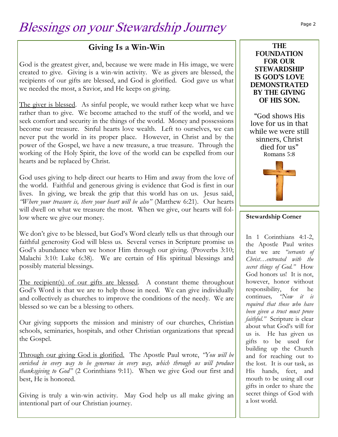#### **Giving Is a Win-Win**

God is the greatest giver, and, because we were made in His image, we were created to give. Giving is a win-win activity. We as givers are blessed, the recipients of our gifts are blessed, and God is glorified. God gave us what we needed the most, a Savior, and He keeps on giving.

The giver is blessed. As sinful people, we would rather keep what we have rather than to give. We become attached to the stuff of the world, and we seek comfort and security in the things of the world. Money and possessions become our treasure. Sinful hearts love wealth. Left to ourselves, we can never put the world in its proper place. However, in Christ and by the power of the Gospel, we have a new treasure, a true treasure. Through the working of the Holy Spirit, the love of the world can be expelled from our hearts and be replaced by Christ.

God uses giving to help direct our hearts to Him and away from the love of the world. Faithful and generous giving is evidence that God is first in our lives. In giving, we break the grip that this world has on us. Jesus said, *"Where your treasure is, there your heart will be also"* (Matthew 6:21). Our hearts will dwell on what we treasure the most. When we give, our hearts will follow where we give our money.

We don't give to be blessed, but God's Word clearly tells us that through our faithful generosity God will bless us. Several verses in Scripture promise us God's abundance when we honor Him through our giving. (Proverbs 3:10; Malachi 3:10: Luke 6:38). We are certain of His spiritual blessings and possibly material blessings.

The recipient(s) of our gifts are blessed. A constant theme throughout God's Word is that we are to help those in need. We can give individually and collectively as churches to improve the conditions of the needy. We are blessed so we can be a blessing to others.

Our giving supports the mission and ministry of our churches, Christian schools, seminaries, hospitals, and other Christian organizations that spread the Gospel.

Through our giving God is glorified. The Apostle Paul wrote, *"You will be enriched in every way to be generous in every way, which through us will produce thanksgiving to God"* (2 Corinthians 9:11). When we give God our first and best, He is honored.

Giving is truly a win-win activity. May God help us all make giving an intentional part of our Christian journey.

#### **THE FOUNDATION FOR OUR STEWARDSHIP IS GOD'S LOVE DEMONSTRATED BY THE GIVING OF HIS SON.**

"God shows His love for us in that while we were still sinners, Christ died for us" Romans 5:8



#### **Stewardship Corner**

In 1 Corinthians 4:1-2, the Apostle Paul writes that we are *"servants of Christ…entrusted with the secret things of God."* How God honors us! It is not, however, honor without responsibility, for he continues*, "Now it is required that those who have been given a trust must prove faithful."* Scripture is clear about what God's will for us is. He has given us gifts to be used for building up the Church and for reaching out to the lost. It is our task, as His hands, feet, and mouth to be using all our gifts in order to share the secret things of God with a lost world.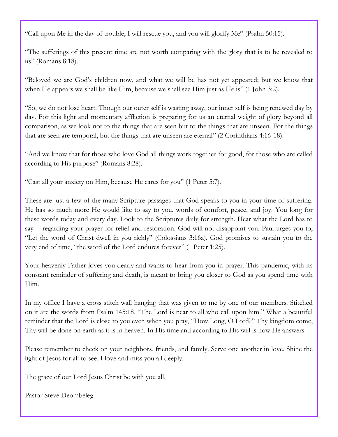"Call upon Me in the day of trouble; I will rescue you, and you will glorify Me" (Psalm 50:15).

"The sufferings of this present time are not worth comparing with the glory that is to be revealed to us" (Romans 8:18).

"Beloved we are God's children now, and what we will be has not yet appeared; but we know that when He appears we shall be like Him, because we shall see Him just as He is" (1 John 3:2).

"So, we do not lose heart. Though our outer self is wasting away, our inner self is being renewed day by day. For this light and momentary affliction is preparing for us an eternal weight of glory beyond all comparison, as we look not to the things that are seen but to the things that are unseen. For the things that are seen are temporal, but the things that are unseen are eternal" (2 Corinthians 4:16-18).

"And we know that for those who love God all things work together for good, for those who are called according to His purpose" (Romans 8:28).

"Cast all your anxiety on Him, because He cares for you" (1 Peter 5:7).

These are just a few of the many Scripture passages that God speaks to you in your time of suffering. He has so much more He would like to say to you, words of comfort, peace, and joy. You long for these words today and every day. Look to the Scriptures daily for strength. Hear what the Lord has to say regarding your prayer for relief and restoration. God will not disappoint you. Paul urges you to, "Let the word of Christ dwell in you richly" (Colossians 3:16a). God promises to sustain you to the very end of time, "the word of the Lord endures forever" (1 Peter 1:25).

Your heavenly Father loves you dearly and wants to hear from you in prayer. This pandemic, with its constant reminder of suffering and death, is meant to bring you closer to God as you spend time with Him.

In my office I have a cross stitch wall hanging that was given to me by one of our members. Stitched on it are the words from Psalm 145:18, "The Lord is near to all who call upon him." What a beautiful reminder that the Lord is close to you even when you pray, "How Long, O Lord?" Thy kingdom come, Thy will be done on earth as it is in heaven. In His time and according to His will is how He answers.

Please remember to check on your neighbors, friends, and family. Serve one another in love. Shine the light of Jesus for all to see. I love and miss you all deeply.

The grace of our Lord Jesus Christ be with you all,

Pastor Steve Deombeleg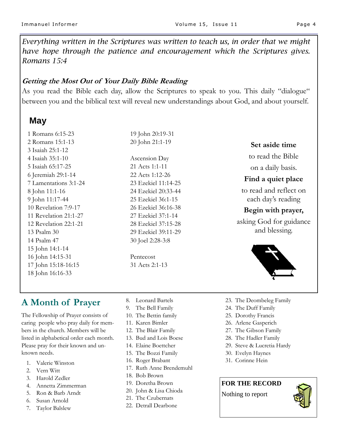*Everything written in the Scriptures was written to teach us, in order that we might have hope through the patience and encouragement which the Scriptures gives. Romans 15:4*

#### **Getting the Most Out of Your Daily Bible Reading**

As you read the Bible each day, allow the Scriptures to speak to you. This daily "dialogue" between you and the biblical text will reveal new understandings about God, and about yourself.

#### **May**

1 Romans 6:15-23 2 Romans 15:1-13 3 Isaiah 25:1-12 4 Isaiah 35:1-10 5 Isaiah 65:17-25 6 Jeremiah 29:1-14 7 Lamentations 3:1-24 8 John 11:1-16 9 John 11:17-44 10 Revelation 7:9-17 11 Revelation 21:1-27 12 Revelation 22:1-21 13 Psalm 30 14 Psalm 47 15 John 14:1-14 16 John 14:15-31 17 John 15:18-16:15 18 John 16:16-33

#### 20 John 21:1-19 Ascension Day 21 Acts 1:1-11 22 Acts 1:12-26 23 Ezekiel 11:14-25 24 Ezekiel 20:33-44 25 Ezekiel 36:1-15 26 Ezekiel 36:16-38 27 Ezekiel 37:1-14 28 Ezekiel 37:15-28

29 Ezekiel 39:11-29 30 Joel 2:28-3:8

19 John 20:19-31

Pentecost 31 Acts 2:1-13

#### **Set aside time**

to read the Bible

on a daily basis.

#### **Find a quiet place**

to read and reflect on each day's reading

#### **Begin with prayer,**

asking God for guidance and blessing.



#### **A Month of Prayer**

The Fellowship of Prayer consists of caring people who pray daily for members in the church. Members will be listed in alphabetical order each month. Please pray for their known and unknown needs.

- 1. Valerie Winston
- 2. Vern Witt
- 3. Harold Zedler
- 4. Annetta Zimmerman
- 5. Ron & Barb Arndt
- 6. Susan Arnold
- 7. Taylor Balslew
- 8. Leonard Bartels
- 9. The Bell Family
- 10. The Bettin family
- 11. Karen Bimler
- 12. The Blair Family
- 13. Bud and Lois Boese
- 14. Elaine Boettcher
- 15. The Bozzi Family
- 16. Roger Brabant
- 17. Ruth Anne Brendemuhl
- 18. Bob Brown
- 19. Doretha Brown
- 20. John & Lisa Chioda
- 21. The Czubernats
- 22. Detrall Dearbone
- 23. The Deombeleg Family
- 24. The Duff Family
- 25. Dorothy Francis
- 26. Arlene Gasperich
- 27. The Gibson Family
- 28. The Hadler Family
- 29. Steve & Lucretia Hardy
- 30. Evelyn Haynes
- 31. Corinne Hein

#### **FOR THE RECORD**

Nothing to report

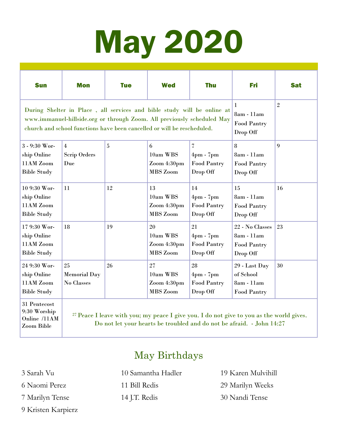# May 2020

| <b>Sun</b>                                                                                                                                                                                                                    | <b>Mon</b>                                   | <b>Tue</b> | <b>Wed</b>                                       | <b>Thu</b>                                                          | Fri                                                             | <b>Sat</b>     |
|-------------------------------------------------------------------------------------------------------------------------------------------------------------------------------------------------------------------------------|----------------------------------------------|------------|--------------------------------------------------|---------------------------------------------------------------------|-----------------------------------------------------------------|----------------|
| During Shelter in Place, all services and bible study will be online at<br>www.immanuel-hillside.org or through Zoom. All previously scheduled May<br>church and school functions have been cancelled or will be rescheduled. |                                              |            |                                                  |                                                                     | 1<br>8am - 11am<br>Food Pantry<br>Drop Off                      | $\overline{2}$ |
| 3 - 9:30 Wor-<br>ship Online<br>11AM Zoom<br><b>Bible Study</b>                                                                                                                                                               | $\overline{4}$<br><b>Scrip Orders</b><br>Due | 5          | 6<br>10am WBS<br>Zoom 4:30pm<br>MBS Zoom         | 7<br>$4\text{pm}$ - $7\text{pm}$<br>Food Pantry<br>Drop Off         | 8<br>8am - 11am<br>Food Pantry<br>Drop Off                      | 9              |
| 10 9:30 Wor-<br>ship Online<br>11AM Zoom<br><b>Bible Study</b>                                                                                                                                                                | 11                                           | 12         | 13<br>10am WBS<br>Zoom 4:30pm<br>MBS Zoom        | 14<br>$4\text{pm}$ - $7\text{pm}$<br><b>Food Pantry</b><br>Drop Off | 15<br>8am - 11am<br><b>Food Pantry</b><br>Drop Off              | 16             |
| 17 9:30 Wor-<br>ship Online<br>11AM Zoom<br><b>Bible Study</b>                                                                                                                                                                | 18                                           | 19         | 20<br>10am WBS<br>Zoom 4:30pm<br>MBS Zoom        | 21<br>$4\text{pm}$ - $7\text{pm}$<br><b>Food Pantry</b><br>Drop Off | 22 - No Classes<br>8am - 11am<br><b>Food Pantry</b><br>Drop Off | 23             |
| 24 9:30 Wor-<br>ship Online<br>11AM Zoom<br><b>Bible Study</b><br>$21$ D <sub>antagas</sub> $\pm$                                                                                                                             | 25<br><b>Memorial Day</b><br>No Classes      | 26         | 27<br>10am WBS<br>Zoom 4:30pm<br><b>MBS</b> Zoom | 28<br>$4$ pm - $7$ pm<br><b>Food Pantry</b><br>Drop Off             | 29 - Last Day<br>of School<br>8am - 11am<br><b>Food Pantry</b>  | 30             |

31 Pentecost 9:30 Worship Online /11AM Zoom Bible

<sup>27</sup> Peace I leave with you; my peace I give you. I do not give to you as the world gives. Do not let your hearts be troubled and do not be afraid. - John 14:27

#### May Birthdays

3 Sarah Vu

- 6 Naomi Perez
- 7 Marilyn Tense
- 9 Kristen Karpierz

10 Samantha Hadler 11 Bill Redis

14 J.T. Redis

19 Karen Mulvihill 29 Marilyn Weeks 30 Nandi Tense